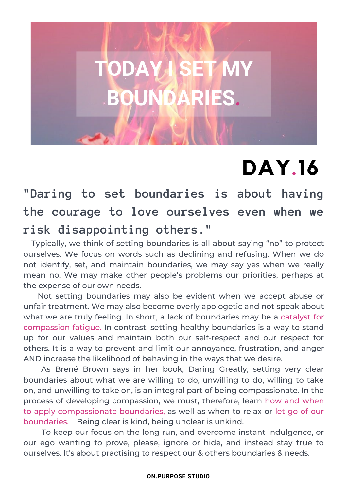# **DAY.16**

**"Daring to set boundaries is about having the courage to love ourselves even when we risk disappointing others."**

**TODAY I SET MY**

**BARI** 

Typically, we think of setting boundaries is all about saying "no" to protect ourselves. We focus on words such as declining and refusing. When we do not identify, set, and maintain boundaries, we may say yes when we really mean no. We may make other people's problems our priorities, perhaps at the expense of our own needs.

Not setting boundaries may also be evident when we accept abuse or unfair treatment. We may also become overly apologetic and not speak about what we are truly feeling. In short, a lack of boundaries may be a catalyst for compassion fatigue. In contrast, setting healthy boundaries is a way to stand up for our values and maintain both our self-respect and our respect for others. It is a way to prevent and limit our annoyance, frustration, and anger AND increase the likelihood of behaving in the ways that we desire.

As Brené Brown says in her book, Daring Greatly, setting very clear boundaries about what we are willing to do, unwilling to do, willing to take on, and unwilling to take on, is an integral part of being compassionate. In the process of developing compassion, we must, therefore, learn how and when to apply compassionate boundaries, as well as when to relax or let go of our boundaries. Being clear is kind, being unclear is unkind.

To keep our focus on the long run, and overcome instant indulgence, or our ego wanting to prove, please, ignore or hide, and instead stay true to ourselves. It's about practising to respect our & others boundaries & needs.

#### **ON.PURPOSE STUDIO**